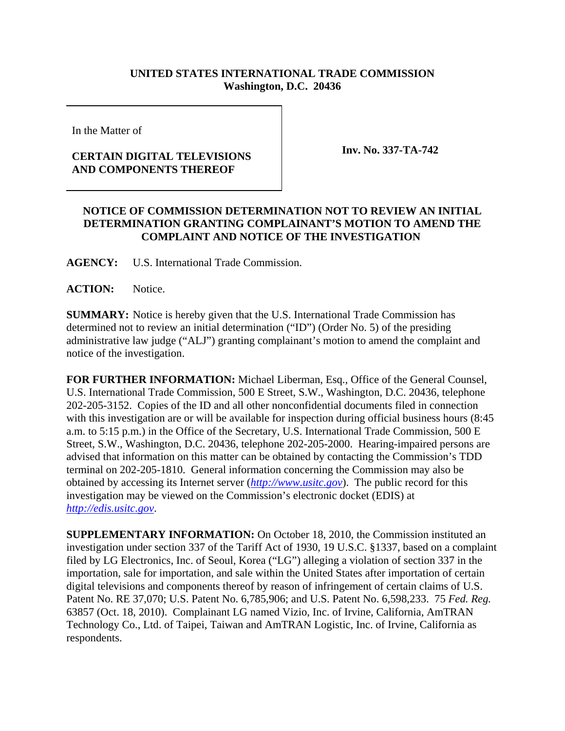## **UNITED STATES INTERNATIONAL TRADE COMMISSION Washington, D.C. 20436**

In the Matter of

## **CERTAIN DIGITAL TELEVISIONS AND COMPONENTS THEREOF**

**Inv. No. 337-TA-742**

## **NOTICE OF COMMISSION DETERMINATION NOT TO REVIEW AN INITIAL DETERMINATION GRANTING COMPLAINANT'S MOTION TO AMEND THE COMPLAINT AND NOTICE OF THE INVESTIGATION**

**AGENCY:** U.S. International Trade Commission.

**ACTION:** Notice.

**SUMMARY:** Notice is hereby given that the U.S. International Trade Commission has determined not to review an initial determination ("ID") (Order No. 5) of the presiding administrative law judge ("ALJ") granting complainant's motion to amend the complaint and notice of the investigation.

**FOR FURTHER INFORMATION:** Michael Liberman, Esq., Office of the General Counsel, U.S. International Trade Commission, 500 E Street, S.W., Washington, D.C. 20436, telephone 202-205-3152. Copies of the ID and all other nonconfidential documents filed in connection with this investigation are or will be available for inspection during official business hours (8:45) a.m. to 5:15 p.m.) in the Office of the Secretary, U.S. International Trade Commission, 500 E Street, S.W., Washington, D.C. 20436, telephone 202-205-2000. Hearing-impaired persons are advised that information on this matter can be obtained by contacting the Commission's TDD terminal on 202-205-1810. General information concerning the Commission may also be obtained by accessing its Internet server (*http://www.usitc.gov*). The public record for this investigation may be viewed on the Commission's electronic docket (EDIS) at *http://edis.usitc.gov*.

**SUPPLEMENTARY INFORMATION:** On October 18, 2010, the Commission instituted an investigation under section 337 of the Tariff Act of 1930, 19 U.S.C. §1337, based on a complaint filed by LG Electronics, Inc. of Seoul, Korea ("LG") alleging a violation of section 337 in the importation, sale for importation, and sale within the United States after importation of certain digital televisions and components thereof by reason of infringement of certain claims of U.S. Patent No. RE 37,070; U.S. Patent No. 6,785,906; and U.S. Patent No. 6,598,233. 75 *Fed. Reg.* 63857 (Oct. 18, 2010). Complainant LG named Vizio, Inc. of Irvine, California, AmTRAN Technology Co., Ltd. of Taipei, Taiwan and AmTRAN Logistic, Inc. of Irvine, California as respondents.